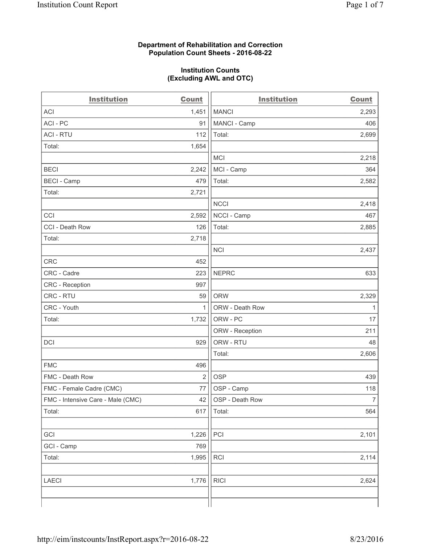## **Department of Rehabilitation and Correction Population Count Sheets - 2016-08-22**

## **Institution Counts (Excluding AWL and OTC)**

| <b>Institution</b>                | Count          | <b>Institution</b> | <b>Count</b>   |
|-----------------------------------|----------------|--------------------|----------------|
| <b>ACI</b>                        | 1,451          | <b>MANCI</b>       | 2,293          |
| ACI - PC                          | 91             | MANCI - Camp       | 406            |
| <b>ACI - RTU</b>                  | 112            | Total:             | 2,699          |
| Total:                            | 1,654          |                    |                |
|                                   |                | <b>MCI</b>         | 2,218          |
| <b>BECI</b>                       | 2,242          | MCI - Camp         | 364            |
| <b>BECI - Camp</b>                | 479            | Total:             | 2,582          |
| Total:                            | 2,721          |                    |                |
|                                   |                | <b>NCCI</b>        | 2,418          |
| CCI                               | 2,592          | NCCI - Camp        | 467            |
| CCI - Death Row                   | 126            | Total:             | 2,885          |
| Total:                            | 2,718          |                    |                |
|                                   |                | <b>NCI</b>         | 2,437          |
| <b>CRC</b>                        | 452            |                    |                |
| CRC - Cadre                       | 223            | <b>NEPRC</b>       | 633            |
| CRC - Reception                   | 997            |                    |                |
| CRC - RTU                         | 59             | <b>ORW</b>         | 2,329          |
| CRC - Youth                       | $\mathbf{1}$   | ORW - Death Row    | $\mathbf{1}$   |
| Total:                            | 1,732          | ORW - PC           | 17             |
|                                   |                | ORW - Reception    | 211            |
| DCI                               | 929            | ORW - RTU          | 48             |
|                                   |                | Total:             | 2,606          |
| <b>FMC</b>                        | 496            |                    |                |
| FMC - Death Row                   | $\overline{2}$ | <b>OSP</b>         | 439            |
| FMC - Female Cadre (CMC)          | 77             | OSP - Camp         | 118            |
| FMC - Intensive Care - Male (CMC) | 42             | OSP - Death Row    | $\overline{7}$ |
| Total:                            | 617            | Total:             | 564            |
|                                   |                |                    |                |
| GCI                               | 1,226          | PCI                | 2,101          |
| GCI - Camp                        | 769            |                    |                |
| Total:                            | 1,995          | RCI                | 2,114          |
|                                   |                |                    |                |
| <b>LAECI</b>                      | 1,776          | <b>RICI</b>        | 2,624          |
|                                   |                |                    |                |
|                                   |                |                    |                |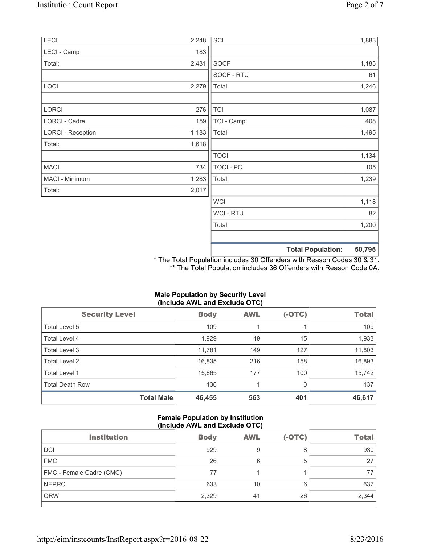| LECI                     | 2,248 | SCI              | 1,883                              |
|--------------------------|-------|------------------|------------------------------------|
| LECI - Camp              | 183   |                  |                                    |
| Total:                   | 2,431 | <b>SOCF</b>      | 1,185                              |
|                          |       | SOCF - RTU       | 61                                 |
| LOCI                     | 2,279 | Total:           | 1,246                              |
| LORCI                    | 276   | <b>TCI</b>       | 1,087                              |
| LORCI - Cadre            | 159   | TCI - Camp       | 408                                |
| <b>LORCI - Reception</b> | 1,183 | Total:           | 1,495                              |
| Total:                   | 1,618 |                  |                                    |
|                          |       | <b>TOCI</b>      | 1,134                              |
| <b>MACI</b>              | 734   | <b>TOCI - PC</b> | 105                                |
| MACI - Minimum           | 1,283 | Total:           | 1,239                              |
| Total:                   | 2,017 |                  |                                    |
|                          |       | <b>WCI</b>       | 1,118                              |
|                          |       | <b>WCI-RTU</b>   | 82                                 |
|                          |       | Total:           | 1,200                              |
|                          |       |                  | 50,795<br><b>Total Population:</b> |

\* The Total Population includes 30 Offenders with Reason Codes 30 & 31. \*\* The Total Population includes 36 Offenders with Reason Code 0A.

| (Include AWL and Exclude OTC) |             |            |               |              |  |  |
|-------------------------------|-------------|------------|---------------|--------------|--|--|
| <b>Security Level</b>         | <b>Body</b> | <b>AWL</b> | <u>(-OTC)</u> | <b>Total</b> |  |  |
| Total Level 5                 | 109         |            |               | 109          |  |  |
| <b>Total Level 4</b>          | 1,929       | 19         | 15            | 1,933        |  |  |
| Total Level 3                 | 11,781      | 149        | 127           | 11,803       |  |  |
| Total Level 2                 | 16,835      | 216        | 158           | 16,893       |  |  |
| Total Level 1                 | 15,665      | 177        | 100           | 15,742       |  |  |
| <b>Total Death Row</b>        | 136         |            | 0             | 137          |  |  |
| <b>Total Male</b>             | 46,455      | 563        | 401           | 46,617       |  |  |

# **Male Population by Security Level (Include AWL and Exclude OTC)**

## **Female Population by Institution (Include AWL and Exclude OTC)**

| <b>Institution</b>       | <b>Body</b> | <b>AWL</b> | $(-OTC)$ | <b>Total</b> |
|--------------------------|-------------|------------|----------|--------------|
| <b>DCI</b>               | 929         | 9          | 8        | 930          |
| <b>FMC</b>               | 26          | 6          | 5        | 27           |
| FMC - Female Cadre (CMC) | 77          |            |          |              |
| <b>NEPRC</b>             | 633         | 10         | 6        | 637          |
| <b>ORW</b>               | 2,329       | 41         | 26       | 2,344        |
|                          |             |            |          |              |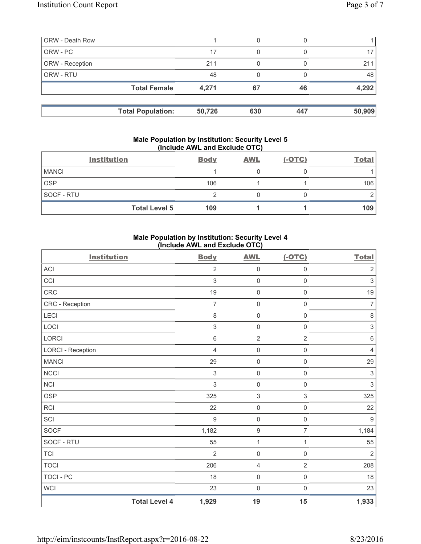| <b>ORW - Death Row</b> |                          |        | 0   |     |        |
|------------------------|--------------------------|--------|-----|-----|--------|
| ORW - PC               |                          | 17     | 0   |     |        |
| ORW - Reception        |                          | 211    |     |     | 21'    |
| ORW - RTU              |                          | 48     |     |     | 48     |
|                        | <b>Total Female</b>      | 4,271  | 67  | 46  | 4,292  |
|                        |                          |        |     |     |        |
|                        | <b>Total Population:</b> | 50,726 | 630 | 447 | 50,909 |

## **Male Population by Institution: Security Level 5 (Include AWL and Exclude OTC)**

|              | <b>Institution</b>   | <b>Body</b> | <b>AWL</b> | $(-OTC)$ | <b>Total</b> |
|--------------|----------------------|-------------|------------|----------|--------------|
| <b>MANCI</b> |                      |             |            |          |              |
| <b>OSP</b>   |                      | 106         |            |          | 106          |
| SOCF - RTU   |                      |             |            |          |              |
|              | <b>Total Level 5</b> | 109         |            |          | 109          |

## **Male Population by Institution: Security Level 4 (Include AWL and Exclude OTC)**

| <b>Institution</b>       |                      | <b>Body</b>               | <b>AWL</b>          | $(-OTC)$            | <b>Total</b>              |
|--------------------------|----------------------|---------------------------|---------------------|---------------------|---------------------------|
| ACI                      |                      | $\overline{2}$            | $\mathsf{O}\xspace$ | $\mathsf{O}\xspace$ | $\sqrt{2}$                |
| CCI                      |                      | $\mathfrak{S}$            | $\mathsf{O}\xspace$ | $\mathsf 0$         | $\ensuremath{\mathsf{3}}$ |
| <b>CRC</b>               |                      | 19                        | $\mathsf{O}\xspace$ | $\mathbf 0$         | $19$                      |
| CRC - Reception          |                      | $\overline{7}$            | $\mathsf{O}\xspace$ | $\mathsf{O}\xspace$ | $\overline{7}$            |
| <b>LECI</b>              |                      | 8                         | $\mathsf{O}\xspace$ | $\mathsf 0$         | $\,8\,$                   |
| LOCI                     |                      | $\mathsf 3$               | $\mathsf{O}\xspace$ | $\mathbf 0$         | $\sqrt{3}$                |
| LORCI                    |                      | $\,6$                     | $\mathbf 2$         | $\sqrt{2}$          | $\,6\,$                   |
| <b>LORCI - Reception</b> |                      | $\overline{4}$            | $\mathsf{O}\xspace$ | $\mathsf{O}\xspace$ | $\overline{4}$            |
| <b>MANCI</b>             |                      | 29                        | $\mathsf{O}\xspace$ | $\mathsf{O}\xspace$ | 29                        |
| <b>NCCI</b>              |                      | $\ensuremath{\mathsf{3}}$ | $\mathsf{O}\xspace$ | $\mathsf{O}\xspace$ | $\ensuremath{\mathsf{3}}$ |
| <b>NCI</b>               |                      | $\mathfrak{S}$            | $\mathsf{O}\xspace$ | $\mathsf 0$         | $\ensuremath{\mathsf{3}}$ |
| <b>OSP</b>               |                      | 325                       | $\,$ 3 $\,$         | $\mathfrak{S}$      | 325                       |
| <b>RCI</b>               |                      | 22                        | $\mathsf{O}\xspace$ | $\mathsf{O}\xspace$ | 22                        |
| SCI                      |                      | 9                         | $\mathsf{O}\xspace$ | $\mathsf 0$         | $\boldsymbol{9}$          |
| SOCF                     |                      | 1,182                     | $\boldsymbol{9}$    | $\overline{7}$      | 1,184                     |
| SOCF - RTU               |                      | 55                        | $\mathbf 1$         | 1                   | 55                        |
| <b>TCI</b>               |                      | $\overline{2}$            | $\mathsf{O}\xspace$ | $\mathbf 0$         | $\overline{2}$            |
| <b>TOCI</b>              |                      | 206                       | 4                   | $\overline{2}$      | 208                       |
| <b>TOCI - PC</b>         |                      | 18                        | $\mathsf{O}\xspace$ | $\mathsf{O}\xspace$ | 18                        |
| WCI                      |                      | 23                        | $\mathsf{O}\xspace$ | $\mathbf 0$         | 23                        |
|                          | <b>Total Level 4</b> | 1,929                     | 19                  | 15                  | 1,933                     |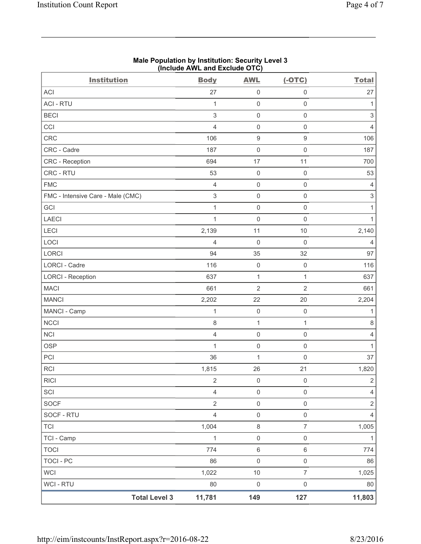| Page 4 of 7 |  |  |
|-------------|--|--|
|-------------|--|--|

|                                   | (Include AWL and Exclude OTC) |                     |                     |                           |
|-----------------------------------|-------------------------------|---------------------|---------------------|---------------------------|
| <b>Institution</b>                | <b>Body</b>                   | <b>AWL</b>          | $(-OTC)$            | <b>Total</b>              |
| <b>ACI</b>                        | 27                            | $\mathsf 0$         | $\mathsf{O}\xspace$ | 27                        |
| <b>ACI - RTU</b>                  | 1                             | $\mathsf{O}\xspace$ | $\mathsf{O}\xspace$ | 1                         |
| <b>BECI</b>                       | 3                             | $\mathbf 0$         | $\mathsf{O}\xspace$ | $\ensuremath{\mathsf{3}}$ |
| CCI                               | $\overline{4}$                | $\mathsf{O}\xspace$ | $\mathsf{O}\xspace$ | $\overline{4}$            |
| CRC                               | 106                           | $\boldsymbol{9}$    | $\mathsf g$         | 106                       |
| CRC - Cadre                       | 187                           | $\mathbf 0$         | $\mathsf{O}\xspace$ | 187                       |
| CRC - Reception                   | 694                           | 17                  | 11                  | 700                       |
| CRC - RTU                         | 53                            | $\mathbf 0$         | $\mathsf{O}\xspace$ | 53                        |
| <b>FMC</b>                        | $\overline{4}$                | $\mathsf{O}\xspace$ | $\mathsf{O}\xspace$ | 4                         |
| FMC - Intensive Care - Male (CMC) | 3                             | $\mathsf{O}\xspace$ | $\mathbf 0$         | $\ensuremath{\mathsf{3}}$ |
| GCI                               | $\mathbf{1}$                  | $\mathbf 0$         | $\mathsf{O}\xspace$ | $\mathbf{1}$              |
| <b>LAECI</b>                      | $\mathbf{1}$                  | $\mathsf{O}\xspace$ | $\mathbf 0$         | $\mathbf{1}$              |
| LECI                              | 2,139                         | 11                  | $10$                | 2,140                     |
| LOCI                              | $\overline{4}$                | $\mathsf{O}\xspace$ | $\mathsf{O}\xspace$ | $\overline{4}$            |
| <b>LORCI</b>                      | 94                            | 35                  | 32                  | 97                        |
| <b>LORCI - Cadre</b>              | 116                           | $\mathbf 0$         | $\mathsf{O}\xspace$ | 116                       |
| <b>LORCI - Reception</b>          | 637                           | $\mathbf{1}$        | $\mathbf{1}$        | 637                       |
| <b>MACI</b>                       | 661                           | $\overline{2}$      | $\overline{2}$      | 661                       |
| <b>MANCI</b>                      | 2,202                         | 22                  | 20                  | 2,204                     |
| MANCI - Camp                      | $\mathbf{1}$                  | $\mathsf{O}\xspace$ | $\mathbf 0$         | $\mathbf{1}$              |
| <b>NCCI</b>                       | $\,8\,$                       | $\mathbf{1}$        | $\mathbf{1}$        | 8                         |
| <b>NCI</b>                        | $\overline{4}$                | $\mathbf 0$         | $\mathbf 0$         | $\overline{4}$            |
| <b>OSP</b>                        | $\mathbf 1$                   | $\mathbf 0$         | $\mathsf{O}\xspace$ | $\mathbf{1}$              |
| PCI                               | 36                            | $\mathbf{1}$        | $\mathsf{O}\xspace$ | 37                        |
| RCI                               | 1,815                         | 26                  | 21                  | 1,820                     |
| <b>RICI</b>                       | $\sqrt{2}$                    | $\mathsf{O}\xspace$ | $\mathbf 0$         | $\overline{2}$            |
| SCI                               | $\overline{4}$                | $\mathsf{O}\xspace$ | $\mathsf{O}\xspace$ | $\overline{4}$            |
| <b>SOCF</b>                       | $\sqrt{2}$                    | $\mathsf{O}\xspace$ | $\mathsf{O}\xspace$ | $\sqrt{2}$                |
| SOCF - RTU                        | $\overline{4}$                | $\mathsf{O}\xspace$ | $\mathsf{O}\xspace$ | $\overline{4}$            |
| <b>TCI</b>                        | 1,004                         | $\,8\,$             | $\overline{7}$      | 1,005                     |
| TCI - Camp                        | 1                             | $\boldsymbol{0}$    | $\mathsf{O}\xspace$ | 1                         |
| <b>TOCI</b>                       | 774                           | $\,6\,$             | $\,6\,$             | 774                       |
| <b>TOCI - PC</b>                  | 86                            | $\mathsf{O}\xspace$ | $\mathsf{O}\xspace$ | 86                        |
| <b>WCI</b>                        | 1,022                         | $10$                | $\overline{7}$      | 1,025                     |
| WCI - RTU                         | 80                            | $\mathsf{O}\xspace$ | $\mathsf{O}\xspace$ | 80                        |
| <b>Total Level 3</b>              | 11,781                        | 149                 | 127                 | 11,803                    |

# **Male Population by Institution: Security Level 3**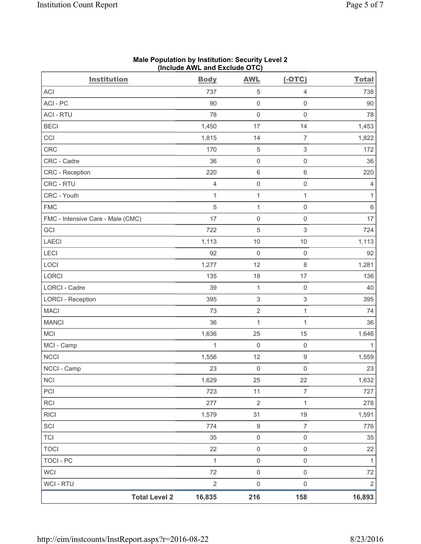| <b>Institution</b>                | <b>Body</b>  | <b>AWL</b>                | $(-OTC)$                  | <b>Total</b>   |
|-----------------------------------|--------------|---------------------------|---------------------------|----------------|
| ACI                               | 737          | $\,$ 5 $\,$               | 4                         | 738            |
| ACI-PC                            | 90           | $\mathsf{O}\xspace$       | $\mathsf{O}\xspace$       | 90             |
| <b>ACI - RTU</b>                  | 78           | $\mathsf{O}\xspace$       | $\mathsf{O}\xspace$       | 78             |
| <b>BECI</b>                       | 1,450        | 17                        | 14                        | 1,453          |
| CCI                               | 1,815        | 14                        | $\overline{7}$            | 1,822          |
| CRC                               | 170          | $\,$ 5 $\,$               | $\ensuremath{\mathsf{3}}$ | 172            |
| CRC - Cadre                       | 36           | $\mathsf 0$               | $\mathsf{O}\xspace$       | 36             |
| CRC - Reception                   | 220          | $\,6\,$                   | $\,$ 6 $\,$               | 220            |
| CRC - RTU                         | 4            | $\mathsf{O}\xspace$       | $\mathsf{O}\xspace$       | $\overline{4}$ |
| CRC - Youth                       | $\mathbf 1$  | $\mathbf 1$               | $\mathbf{1}$              | $\mathbf{1}$   |
| <b>FMC</b>                        | 5            | $\mathbf 1$               | $\mathsf{O}\xspace$       | $\,6\,$        |
| FMC - Intensive Care - Male (CMC) | 17           | $\mathsf 0$               | $\mathsf{O}\xspace$       | 17             |
| GCI                               | 722          | $\sqrt{5}$                | $\,$ 3 $\,$               | 724            |
| <b>LAECI</b>                      | 1,113        | $10$                      | 10                        | 1,113          |
| LECI                              | 92           | $\mathsf 0$               | $\mathsf{O}\xspace$       | 92             |
| LOCI                              | 1,277        | 12                        | $\,8\,$                   | 1,281          |
| LORCI                             | 135          | 18                        | 17                        | 136            |
| <b>LORCI - Cadre</b>              | 39           | $\mathbf{1}$              | $\mathsf{O}\xspace$       | 40             |
| <b>LORCI - Reception</b>          | 395          | $\ensuremath{\mathsf{3}}$ | $\ensuremath{\mathsf{3}}$ | 395            |
| <b>MACI</b>                       | 73           | $\sqrt{2}$                | $\mathbf{1}$              | 74             |
| <b>MANCI</b>                      | 36           | $\mathbf 1$               | $\mathbf{1}$              | 36             |
| <b>MCI</b>                        | 1,636        | 25                        | 15                        | 1,646          |
| MCI - Camp                        | $\mathbf 1$  | $\mathsf{O}\xspace$       | $\mathsf 0$               | $\mathbf{1}$   |
| <b>NCCI</b>                       | 1,556        | 12                        | $\hbox{9}$                | 1,559          |
| NCCI - Camp                       | 23           | $\mathsf{O}\xspace$       | $\mathsf 0$               | 23             |
| <b>NCI</b>                        | 1,629        | 25                        | 22                        | 1,632          |
| PCI                               | 723          | 11                        | $\overline{7}$            | 727            |
| RCI                               | 277          | $\sqrt{2}$                | $\mathbf{1}$              | 278            |
| <b>RICI</b>                       | 1,579        | 31                        | 19                        | 1,591          |
| SCI                               | 774          | $\boldsymbol{9}$          | $\boldsymbol{7}$          | 776            |
| <b>TCI</b>                        | 35           | $\mathsf 0$               | $\mathsf{O}\xspace$       | 35             |
| <b>TOCI</b>                       | 22           | $\mathsf 0$               | $\mathsf{O}\xspace$       | 22             |
| <b>TOCI - PC</b>                  | $\mathbf{1}$ | $\mathsf 0$               | $\mathsf{O}\xspace$       | $\mathbf{1}$   |
| <b>WCI</b>                        | 72           | $\mathsf{O}\xspace$       | $\mathsf{O}\xspace$       | 72             |
| WCI - RTU                         | $\sqrt{2}$   | $\mathsf{O}\xspace$       | $\mathsf{O}\xspace$       | $\overline{2}$ |
| <b>Total Level 2</b>              | 16,835       | 216                       | 158                       | 16,893         |

#### **Male Population by Institution: Security Level 2 (Include AWL and Exclude OTC)**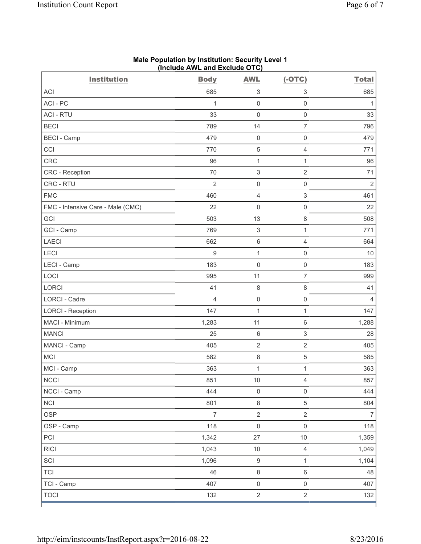| <b>Institution</b>                | <b>Body</b>    | <b>AWL</b>                | $(-OTC)$                  | <b>Total</b>   |
|-----------------------------------|----------------|---------------------------|---------------------------|----------------|
| <b>ACI</b>                        | 685            | $\ensuremath{\mathsf{3}}$ | $\ensuremath{\mathsf{3}}$ | 685            |
| ACI-PC                            | 1              | $\mathsf 0$               | $\mathsf{O}\xspace$       | $\mathbf{1}$   |
| <b>ACI - RTU</b>                  | 33             | $\mathsf 0$               | $\mathsf 0$               | 33             |
| <b>BECI</b>                       | 789            | 14                        | $\overline{7}$            | 796            |
| <b>BECI</b> - Camp                | 479            | $\mathsf{O}\xspace$       | $\mathsf 0$               | 479            |
| CCI                               | 770            | 5                         | $\overline{4}$            | 771            |
| CRC                               | 96             | $\mathbf{1}$              | $\mathbf{1}$              | 96             |
| CRC - Reception                   | 70             | $\,$ 3 $\,$               | $\overline{2}$            | 71             |
| CRC - RTU                         | $\overline{2}$ | $\mathsf{O}\xspace$       | $\mathsf{O}\xspace$       | $\overline{2}$ |
| <b>FMC</b>                        | 460            | $\overline{4}$            | $\ensuremath{\mathsf{3}}$ | 461            |
| FMC - Intensive Care - Male (CMC) | 22             | $\mathsf{O}\xspace$       | $\mathsf{O}\xspace$       | 22             |
| GCI                               | 503            | 13                        | 8                         | 508            |
| GCI - Camp                        | 769            | $\ensuremath{\mathsf{3}}$ | 1                         | 771            |
| <b>LAECI</b>                      | 662            | $\,$ 6 $\,$               | $\overline{4}$            | 664            |
| LECI                              | $\hbox{9}$     | $\mathbf{1}$              | $\mathsf 0$               | 10             |
| LECI - Camp                       | 183            | $\mathbf 0$               | $\mathbf 0$               | 183            |
| LOCI                              | 995            | 11                        | $\overline{7}$            | 999            |
| <b>LORCI</b>                      | 41             | 8                         | 8                         | 41             |
| LORCI - Cadre                     | 4              | $\mathsf{O}\xspace$       | $\mathsf{O}\xspace$       | 4              |
| <b>LORCI - Reception</b>          | 147            | $\mathbf{1}$              | $\mathbf{1}$              | 147            |
| MACI - Minimum                    | 1,283          | 11                        | $\,6$                     | 1,288          |
| <b>MANCI</b>                      | 25             | $\,6\,$                   | $\ensuremath{\mathsf{3}}$ | 28             |
| MANCI - Camp                      | 405            | $\overline{2}$            | $\overline{2}$            | 405            |
| MCI                               | 582            | $\,8\,$                   | 5                         | 585            |
| MCI - Camp                        | 363            | $\mathbf 1$               | $\mathbf 1$               | 363            |
| $\sf NCCI$                        | 851            | 10                        | $\overline{4}$            | 857            |
| NCCI - Camp                       | 444            | $\mathsf{O}\xspace$       | $\mathsf{O}\xspace$       | 444            |
| <b>NCI</b>                        | 801            | $\,8\,$                   | $\sqrt{5}$                | 804            |
| <b>OSP</b>                        | $\overline{7}$ | $\overline{2}$            | $\overline{2}$            | $\overline{7}$ |
| OSP - Camp                        | 118            | $\mathsf{O}\xspace$       | $\mathsf{O}\xspace$       | 118            |
| PCI                               | 1,342          | 27                        | $10$                      | 1,359          |
| <b>RICI</b>                       | 1,043          | $10$                      | $\overline{4}$            | 1,049          |
| SCI                               | 1,096          | $\mathsf g$               | $\mathbf{1}$              | 1,104          |
| <b>TCI</b>                        | 46             | $\,8\,$                   | $\,6\,$                   | 48             |
| TCI - Camp                        | 407            | $\mathsf{O}\xspace$       | $\mathsf 0$               | 407            |
| <b>TOCI</b>                       | 132            | $\overline{2}$            | $\overline{2}$            | 132            |

#### **Male Population by Institution: Security Level 1 (Include AWL and Exclude OTC)**